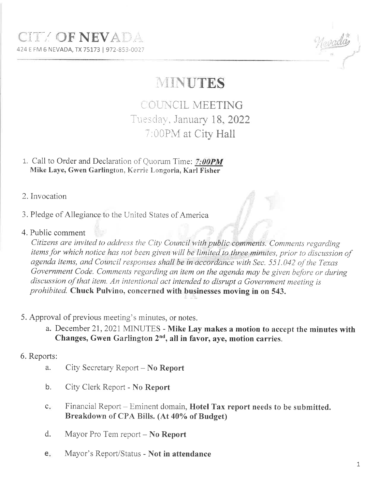## MINUTES

COUNCIL MEETING Tuesday, January 18, 2022 7:00PM at City Hall

- 1. Call to Order and Declaration of Quorum Time: 7:00PM Mike Laye, Gwen Garlington, Kerrie Longoria, Karl Fisher
- 2. Invocation
- 3. Pledge of Allegiance to the United States of America
- 4. Public comment

Citizens are invited to address the City Council with public comments. Comments regarding items for which notice has not been given will be limited to three minutes, prior to discussion of agenda items, and Council responses shall be in accordance with Sec. 551.042 of the Texas Government Code. Comments regarding an item on the agenda may be given before or during discussion of that item. An intentional act intended to disrupt a Government meeting is prohibited. Chuck Pulvino, concerned with businesses moving in on 543.

- 5. Approval of previous meeting's minutes, or notes.
	- a. December 21, 2021 MINUTES Mike Lay makes a motion to accept the minutes with Changes, Gwen Garlington 2<sup>nd</sup>, all in favor, aye, motion carries.
- 6. Reports:
	- City Secretary Report No Report a.
	- b. City Clerk Report - No Report
	- $C_{\bullet}$ Financial Report – Eminent domain, Hotel Tax report needs to be submitted. Breakdown of CPA Bills. (At 40% of Budget)
	- $d.$ Mayor Pro Tem report – No Report
	- Mayor's Report/Status Not in attendance  $e_{i}$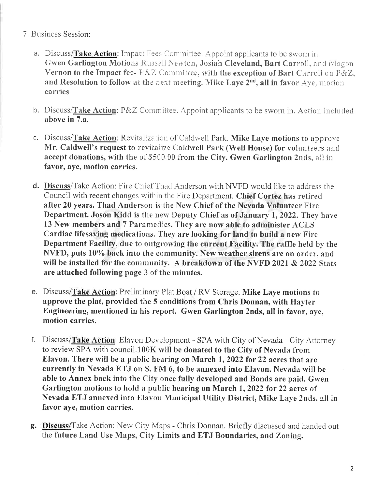- 7, Business Session:
	- a. Discuss/Take Action: Impact Fees Committee. Appoint applicants to be sworn in. Gwen Garlington Motions Russell Newton, Josiah Cleveland, Bart Carroll, and Magon Vernon to the Impact fee-  $P\&Z$  Committee, with the exception of Bart Carroll on  $P\&Z$ , and Resolution to follow at the next meeting. Mike Laye  $2^{nd}$ , all in favor Aye, motion carries
	- b. Discuss/Take Action: P&Z Committee. Appoint applicants to be sworn in. Action included above in 7.a.
	- c. Discuss/Take Action: Revitalization of Caldwell Park. Mike Laye motions to approve Mr. Caldwell's request to revitalize Caldwell Park (Well House) for volunteers and accept donations, with the of \$500.00 from the City. Gwen Garlington 2nds, all in favor, aye, motion carries.
	- d. Discuss/Take Action: Fire Chief Thad Anderson with NVFD would like to address the Council with recent changes within the Fire Department. Chief Cortez has retireci after 20 years. Thad Anderson is the New Chief of the Nevada Volunteer Fire Department. Joson Kidd is the new Deputy Chief as of January 1, 2022. They have 13 New members and 7 Paramedics. They are now able to administer ACLS Cardiac lifesaving medications. They are looking for land to build a new Fire Department Facilify, due to outgrowing the current Facility. The raffle held by the NVFD, puts 10% back into the community. New weather sirens are on order, and will be installed for the community. A breakdown of the NVFD 2021  $& 2022$  Stats are attached following page 3 of the minutes.
	- e. Discuss/Take Action: Preliminary Plat Boat / RV Storage. Mike Laye motions to approve the plat, provided the 5 conditions from Chris Donnan, with Hayter Engineering, mentioned in his report. Gwen Garlington 2nds, all in favor, aye, motion carries.
	- f. Discuss/Take Action: Elavon Deveiopment SPA with City of Nevada City Attomey to review SPA with council.100K will be donated to the City of Nevada from Elavon. There will be a public hearing on March 1,2022 for 22 acres that are currently in Nevada ETJ on S. FM 6, to be annexed into Elavon. Nevada will be able to Annex back into the City once fully developed and Bonds are paicl. Gwen Garlington motions to hold a public hearing on March 1, 2022 for 22 acres of Nevada ETJ annexed into Elavon Municipal Utility District, Mike Laye 2nds, all in favor aye, motion carries.
	- g. Discuss/Take Action: New City Maps Chris Donnan. Briefly discussed and handed out the future Land Use Maps, City Limits and ETJ Boundaries, and Zoning.